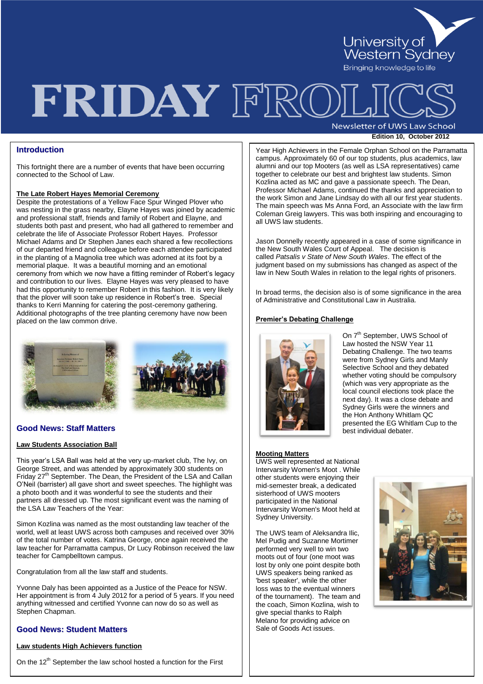

## FRIDAY FRO

Newsletter of UWS Law School **Edition 10, October <sup>2012</sup>**

## **Introduction**

This fortnight there are a number of events that have been occurring connected to the School of Law.

#### **The Late Robert Hayes Memorial Ceremony**

Despite the protestations of a Yellow Face Spur Winged Plover who was nesting in the grass nearby, Elayne Hayes was joined by academic and professional staff, friends and family of Robert and Elayne, and students both past and present, who had all gathered to remember and celebrate the life of Associate Professor Robert Hayes. Professor Michael Adams and Dr Stephen Janes each shared a few recollections of our departed friend and colleague before each attendee participated in the planting of a Magnolia tree which was adorned at its foot by a memorial plaque. It was a beautiful morning and an emotional ceremony from which we now have a fitting reminder of Robert's legacy and contribution to our lives. Elayne Hayes was very pleased to have had this opportunity to remember Robert in this fashion. It is very likely that the plover will soon take up residence in Robert"s tree. Special thanks to Kerri Manning for catering the post-ceremony gathering. Additional photographs of the tree planting ceremony have now been placed on the law common drive.



## **Good News: Staff Matters**

#### **Law Students Association Ball**

This year"s LSA Ball was held at the very up-market club, The Ivy, on George Street, and was attended by approximately 300 students on Friday 27<sup>th</sup> September. The Dean, the President of the LSA and Callan O"Neil (barrister) all gave short and sweet speeches. The highlight was a photo booth and it was wonderful to see the students and their partners all dressed up. The most significant event was the naming of the LSA Law Teachers of the Year:

Simon Kozlina was named as the most outstanding law teacher of the world, well at least UWS across both campuses and received over 30% of the total number of votes. Katrina George, once again received the law teacher for Parramatta campus, Dr Lucy Robinson received the law teacher for Campbelltown campus.

Congratulation from all the law staff and students.

Yvonne Daly has been appointed as a Justice of the Peace for NSW. Her appointment is from 4 July 2012 for a period of 5 years. If you need anything witnessed and certified Yvonne can now do so as well as Stephen Chapman.

## **Good News: Student Matters**

## **Law students High Achievers function**

On the  $12<sup>th</sup>$  September the law school hosted a function for the First

**Page 2 Edition 7, August 2010**  Professor Michael Adams, continued the thanks and appreciation to Year High Achievers in the Female Orphan School on the Parramatta campus. Approximately 60 of our top students, plus academics, law alumni and our top Mooters (as well as LSA representatives) came together to celebrate our best and brightest law students. Simon Kozlina acted as MC and gave a passionate speech. The Dean, the work Simon and Jane Lindsay do with all our first year students. The main speech was Ms Anna Ford, an Associate with the law firm Coleman Greig lawyers. This was both inspiring and encouraging to all UWS law students.

Jason Donnelly recently appeared in a case of some significance in the New South Wales Court of Appeal. The decision is called *Patsalis v State of New South Wales*. The effect of the judgment based on my submissions has changed as aspect of the law in New South Wales in relation to the legal rights of prisoners.

In broad terms, the decision also is of some significance in the area of Administrative and Constitutional Law in Australia.

#### **Premier's Debating Challenge**



On 7<sup>th</sup> September, UWS School of Law hosted the NSW Year 11 Debating Challenge. The two teams were from Sydney Girls and Manly Selective School and they debated whether voting should be compulsory (which was very appropriate as the local council elections took place the next day). It was a close debate and Sydney Girls were the winners and the Hon Anthony Whitlam QC presented the EG Whitlam Cup to the best individual debater.

## **Mooting Matters**

UWS well represented at National Intervarsity Women's Moot . While other students were enjoying their mid-semester break, a dedicated sisterhood of UWS mooters participated in the National Intervarsity Women's Moot held at Sydney University.

The UWS team of Aleksandra Ilic, Mel Pudig and Suzanne Mortimer performed very well to win two moots out of four (one moot was lost by only one point despite both UWS speakers being ranked as 'best speaker', while the other loss was to the eventual winners of the tournament). The team and the coach, Simon Kozlina, wish to give special thanks to Ralph Melano for providing advice on Sale of Goods Act issues.